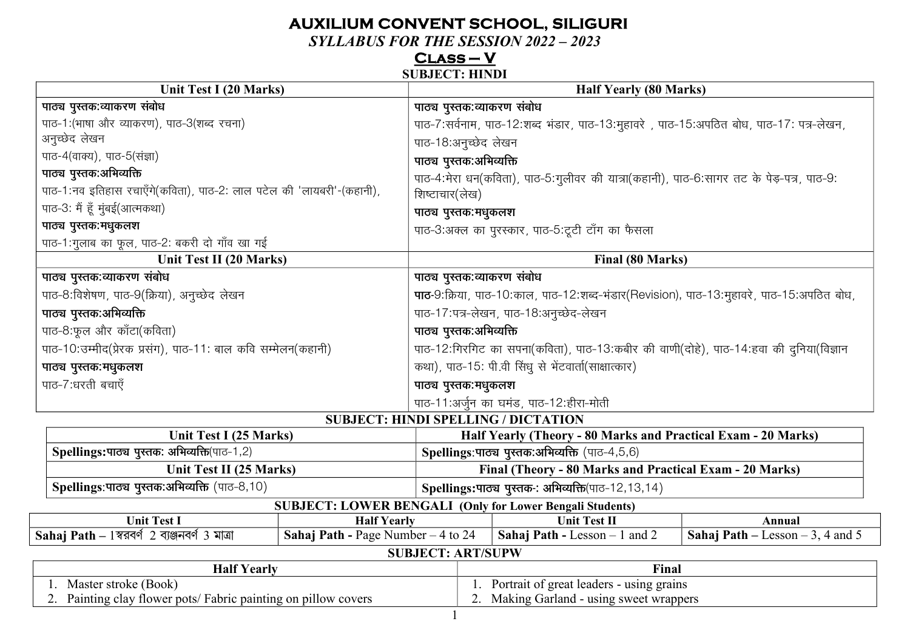## **AUXILIUM CONVENT SCHOOL, SILIGURI**

**SYLLABUS FOR THE SESSION 2022 - 2023** 

# $CLASS - V$ <br>SUBJECT: HINDI

| <b>Unit Test I (20 Marks)</b>                                        |                                            |                                                                                          | <b>Half Yearly (80 Marks)</b>                                                           |                                  |
|----------------------------------------------------------------------|--------------------------------------------|------------------------------------------------------------------------------------------|-----------------------------------------------------------------------------------------|----------------------------------|
| पाठ्य पुस्तक:व्याकरण संबोध                                           |                                            | पाठ्य पुस्तक:व्याकरण संबोध                                                               |                                                                                         |                                  |
| पाठ-1: (भाषा और व्याकरण), पाठ-3 (शब्द रचना)                          |                                            |                                                                                          | पाठ-7:सर्वनाम, पाठ-12:शब्द भंडार, पाठ-13:मुहावरे, पाठ-15:अपठित बोध, पाठ-17: पत्र-लेखन,  |                                  |
| अनुच्छेद लेखन                                                        |                                            | पाठ-18:अनुच्छेद लेखन                                                                     |                                                                                         |                                  |
| पाठ-4(वाक्य), पाठ-5(संज्ञा)                                          |                                            | पाठ्य पुस्तक:अभिव्यक्ति                                                                  |                                                                                         |                                  |
| पाठ्य पुस्तक:अभिव्यक्ति                                              |                                            |                                                                                          | पाठ-4:मेरा धन(कविता), पाठ-5:गुलीवर की यात्रा(कहानी), पाठ-6:सागर तट के पेड़-पत्र, पाठ-9: |                                  |
| पाठ-1:नव इतिहास रचाएँगे(कविता), पाठ-2: लाल पटेल की 'लायबरी'-(कहानी), |                                            | शिष्टाचार(लेख)                                                                           |                                                                                         |                                  |
| पाठ-3: मैं हूँ मुंबई(आत्मकथा)                                        |                                            | पाठ्य पुस्तक:मधुकलश                                                                      |                                                                                         |                                  |
| पाठ्य पुस्तक:मधुकलश                                                  |                                            |                                                                                          | पाठ-3:अक्ल का पुरस्कार, पाठ-5:टूटी टाँग का फैसला                                        |                                  |
| पाठ-1:गुलाब का फूल, पाठ-2: बकरी दो गाँव खा गई                        |                                            |                                                                                          |                                                                                         |                                  |
| Unit Test II (20 Marks)                                              |                                            |                                                                                          | Final (80 Marks)                                                                        |                                  |
| पाठ्य पुस्तक:व्याकरण संबोध                                           |                                            | पाठ्य पुस्तक:व्याकरण संबोध                                                               |                                                                                         |                                  |
| पाठ-8:विशेषण, पाठ-9(क्रिया), अनुच्छेद लेखन                           |                                            | पाठ-9:क्रिया, पाठ-10:काल, पाठ-12:शब्द-भंडार(Revision), पाठ-13:मुहावरे, पाठ-15:अपठित बोध, |                                                                                         |                                  |
| पाठ्य पुस्तक:अभिव्यक्ति                                              |                                            | पाठ-17:पत्र-लेखन, पाठ-18:अनुच्छेद-लेखन                                                   |                                                                                         |                                  |
| पाठ-8:फूल और कॉटा(कविता)                                             |                                            | पाठ्य पुस्तक:अभिव्यक्ति                                                                  |                                                                                         |                                  |
| पाठ-10: उम्मीद(प्रेरक प्रसंग), पाठ-11: बाल कवि सम्मेलन(कहानी)        |                                            |                                                                                          | पाठ-12:गिरगिट का सपना(कविता), पाठ-13:कबीर की वाणी(दोहे), पाठ-14:हवा की दुनिया(विज्ञान   |                                  |
| पाठ्य पुस्तक:मधुकलश                                                  |                                            |                                                                                          | कथा), पाठ-15: पी.वी सिंधू से भेंटवार्ता(साक्षात्कार)                                    |                                  |
| पाठ-7:धरती बचाएँ                                                     |                                            | पाठ्य पुस्तक:मधुकलश                                                                      |                                                                                         |                                  |
|                                                                      |                                            |                                                                                          | पाठ-11:अर्जुन का घमंड, पाठ-12:हीरा-मोती                                                 |                                  |
|                                                                      | <b>SUBJECT: HINDI SPELLING / DICTATION</b> |                                                                                          |                                                                                         |                                  |
| Unit Test I (25 Marks)                                               |                                            |                                                                                          | Half Yearly (Theory - 80 Marks and Practical Exam - 20 Marks)                           |                                  |
| Spellings:पाठ्य पुस्तक: अभिव्यक्ति(पाठ-1,2)                          |                                            |                                                                                          | Spellings: पाठ्य पुस्तक: अभिव्यक्ति (पाठ-4,5,6)                                         |                                  |
| Unit Test II (25 Marks)                                              |                                            |                                                                                          | Final (Theory - 80 Marks and Practical Exam - 20 Marks)                                 |                                  |
| Spellings: पाठ्य पुस्तक: अभिव्यक्ति (पाठ-8,10)                       |                                            |                                                                                          | Spellings:पाठ्य पुस्तक-: अभिव्यक्ति(पाठ-12,13,14)                                       |                                  |
| <b>SUBJECT: LOWER BENGALI (Only for Lower Bengali Students)</b>      |                                            |                                                                                          |                                                                                         |                                  |
| <b>Unit Test I</b>                                                   | <b>Half Yearly</b>                         |                                                                                          | <b>Unit Test II</b>                                                                     | Annual                           |
| $Sahaj Path - 1$ স্বরবর্ণ 2 ব্যঞ্জনবর্ণ 3 মাত্রা                     | <b>Sahaj Path - Page Number - 4 to 24</b>  |                                                                                          | Sahaj Path - Lesson - 1 and 2                                                           | Sahaj Path – Lesson – 3, 4 and 5 |
| <b>SUBJECT: ART/SUPW</b>                                             |                                            |                                                                                          |                                                                                         |                                  |
| <b>Half Yearly</b><br>Master stroke (Book)                           |                                            |                                                                                          | Final<br>Portrait of great leaders - using grains                                       |                                  |
| 2. Painting clay flower pots/ Fabric painting on pillow covers       |                                            |                                                                                          | 2. Making Garland - using sweet wrappers                                                |                                  |
|                                                                      |                                            |                                                                                          |                                                                                         |                                  |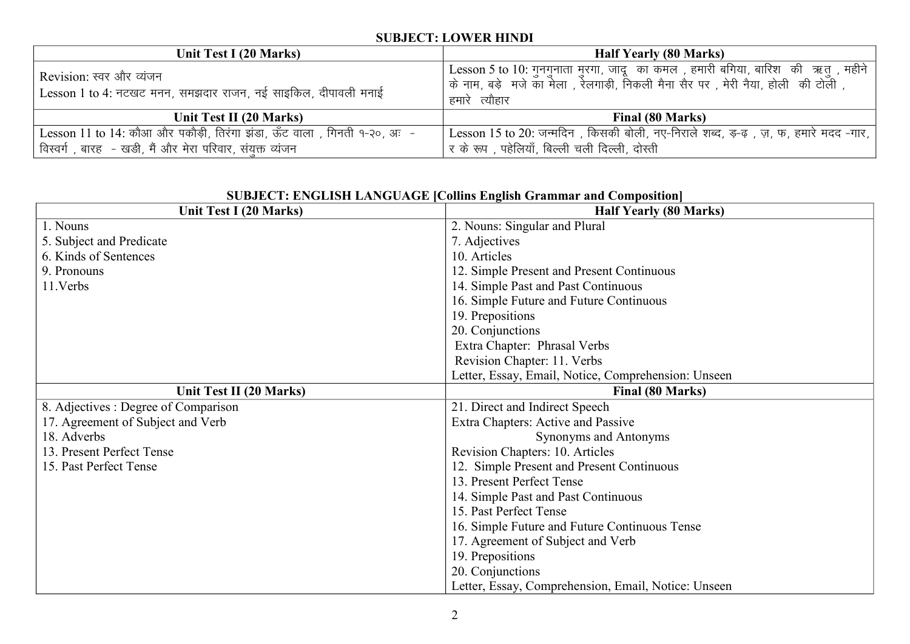#### **SUBJECT: LOWER HINDI**

| Unit Test I (20 Marks)                                                  | <b>Half Yearly (80 Marks)</b>                                                        |
|-------------------------------------------------------------------------|--------------------------------------------------------------------------------------|
| Revision: स्वर और व्यंजन                                                | ' Lesson 5 to 10: गुनगुनाता मुरगा, जादू) का कमल , हमारी बगिया, बारिश) की ऋत् , महीने |
|                                                                         | , कि नाम, बड़े  मजे का मेला , रेलगाड़ी, निकली मैना सैर पर , मेरी नैया, होली  की टोली |
| Lesson 1 to 4: नटखट मनन, समझदार राजन, नई साइकिल, दीपावली मनाई           | हमारे त्यौहार                                                                        |
| Unit Test II (20 Marks)                                                 | Final (80 Marks)                                                                     |
| Lesson 11 to 14: कौआ और पकौड़ी, तिरंगा झंडा, ऊँट वाला, गिनती १-२०, अः - | Lesson 15 to 20: जन्मदिन), किसकी बोली, नए-निराले शब्द, इ-ढ़), ज़, फ, हमारे मदद -गार, |
| विस्वर्ग, बारह - खड़ी, मैं और मेरा परिवार, संयक्त व्यंजन                | र के रूप , पहेलियाँ, बिल्ली चली दिल्ली, दोस्ती                                       |

|                                      | SUBJECT: ENGLISH LANGUAGE [Collins English Grammar and Composition] |
|--------------------------------------|---------------------------------------------------------------------|
| Unit Test I (20 Marks)               | <b>Half Yearly (80 Marks)</b>                                       |
| 1. Nouns                             | 2. Nouns: Singular and Plural                                       |
| 5. Subject and Predicate             | 7. Adjectives                                                       |
| 6. Kinds of Sentences                | 10. Articles                                                        |
| 9. Pronouns                          | 12. Simple Present and Present Continuous                           |
| 11. Verbs                            | 14. Simple Past and Past Continuous                                 |
|                                      | 16. Simple Future and Future Continuous                             |
|                                      | 19. Prepositions                                                    |
|                                      | 20. Conjunctions                                                    |
|                                      | Extra Chapter: Phrasal Verbs                                        |
|                                      | Revision Chapter: 11. Verbs                                         |
|                                      | Letter, Essay, Email, Notice, Comprehension: Unseen                 |
| Unit Test II (20 Marks)              | Final (80 Marks)                                                    |
| 8. Adjectives : Degree of Comparison | 21. Direct and Indirect Speech                                      |
| 17. Agreement of Subject and Verb    | Extra Chapters: Active and Passive                                  |
| 18. Adverbs                          | Synonyms and Antonyms                                               |
| 13. Present Perfect Tense            | Revision Chapters: 10. Articles                                     |
| 15. Past Perfect Tense               | 12. Simple Present and Present Continuous                           |
|                                      | 13. Present Perfect Tense                                           |
|                                      | 14. Simple Past and Past Continuous                                 |
|                                      | 15. Past Perfect Tense                                              |
|                                      | 16. Simple Future and Future Continuous Tense                       |
|                                      | 17. Agreement of Subject and Verb                                   |
|                                      | 19. Prepositions                                                    |
|                                      | 20. Conjunctions                                                    |
|                                      | Letter, Essay, Comprehension, Email, Notice: Unseen                 |

#### $\overline{S}$   $\overline{S}$   $\overline{S}$   $\overline{S}$   $\overline{S}$   $\overline{S}$   $\overline{S}$   $\overline{S}$   $\overline{S}$   $\overline{S}$   $\overline{S}$   $\overline{S}$   $\overline{S}$   $\overline{S}$   $\overline{S}$   $\overline{S}$   $\overline{S}$   $\overline{S}$   $\overline{S}$   $\overline{S}$   $\overline{S}$   $\overline{S}$   $\overline{S}$   $\overline{S}$   $\overline{$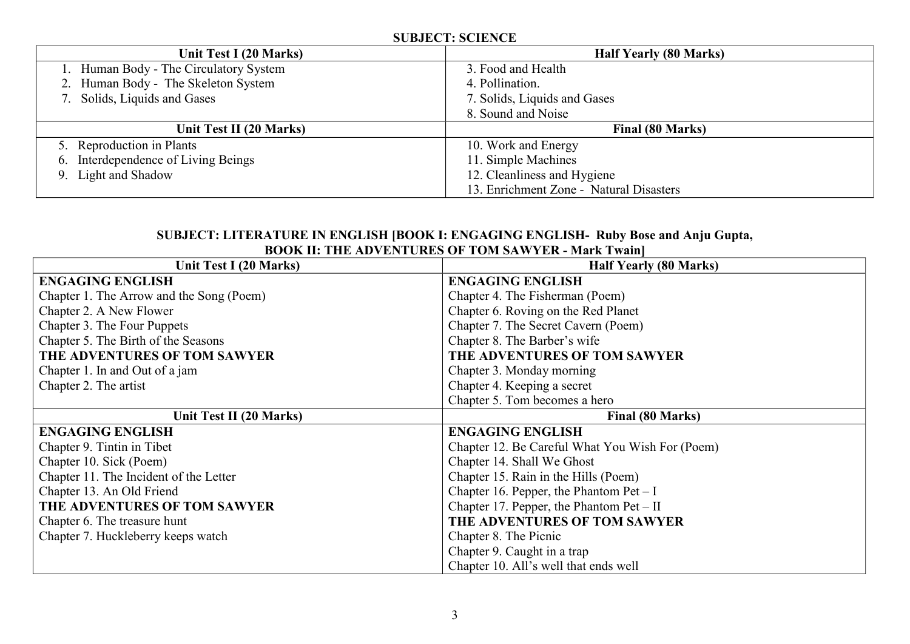#### **SUBJECT: SCIENCE Unit Test I (20 Marks) Half Yearly (80 Marks)** 1. Human Body - The Circulatory System 2. Human Body - The Skeleton System 7. Solids, Liquids and Gases 3. Food and Health 4. Pollination. 7. Solids, Liquids and Gases 8. Sound and Noise Unit Test II (20 Marks) **Final (80 Marks)** 5. Reproduction in Plants 6. Interdependence of Living Beings 9. Light and Shadow 10. Work and Energy 11. Simple Machines 12. Cleanliness and Hygiene 13. Enrichment Zone - Natural Disasters

#### **SUBJECT: LITERATURE IN ENGLISH [BOOK I: ENGAGING ENGLISH- Ruby Bose and Anju Gupta, BOOK II: THE ADVENTURES OF TOM SAWYER - Mark Twain]**

| Unit Test I (20 Marks)                   | <b>Half Yearly (80 Marks)</b>                   |
|------------------------------------------|-------------------------------------------------|
| <b>ENGAGING ENGLISH</b>                  | <b>ENGAGING ENGLISH</b>                         |
| Chapter 1. The Arrow and the Song (Poem) | Chapter 4. The Fisherman (Poem)                 |
| Chapter 2. A New Flower                  | Chapter 6. Roving on the Red Planet             |
| Chapter 3. The Four Puppets              | Chapter 7. The Secret Cavern (Poem)             |
| Chapter 5. The Birth of the Seasons      | Chapter 8. The Barber's wife                    |
| THE ADVENTURES OF TOM SAWYER             | THE ADVENTURES OF TOM SAWYER                    |
| Chapter 1. In and Out of a jam           | Chapter 3. Monday morning                       |
| Chapter 2. The artist                    | Chapter 4. Keeping a secret                     |
|                                          | Chapter 5. Tom becomes a hero                   |
| Unit Test II (20 Marks)                  | Final (80 Marks)                                |
| <b>ENGAGING ENGLISH</b>                  | <b>ENGAGING ENGLISH</b>                         |
| Chapter 9. Tintin in Tibet               | Chapter 12. Be Careful What You Wish For (Poem) |
| Chapter 10. Sick (Poem)                  | Chapter 14. Shall We Ghost                      |
| Chapter 11. The Incident of the Letter   | Chapter 15. Rain in the Hills (Poem)            |
| Chapter 13. An Old Friend                | Chapter 16. Pepper, the Phantom $Pet - I$       |
| THE ADVENTURES OF TOM SAWYER             | Chapter 17. Pepper, the Phantom Pet – $II$      |
| Chapter 6. The treasure hunt             | THE ADVENTURES OF TOM SAWYER                    |
| Chapter 7. Huckleberry keeps watch       | Chapter 8. The Picnic                           |
|                                          | Chapter 9. Caught in a trap                     |
|                                          | Chapter 10. All's well that ends well           |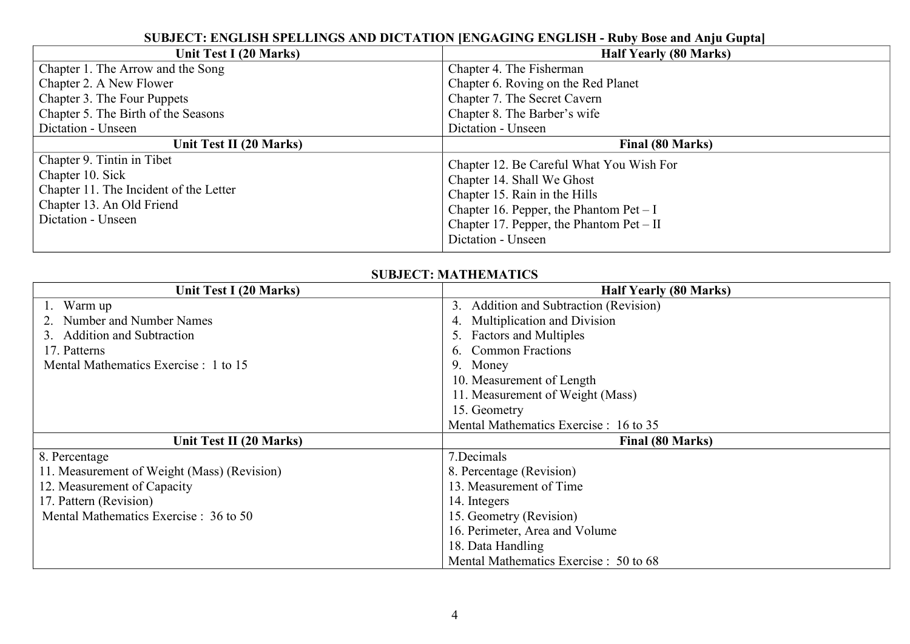#### **SUBJECT: ENGLISH SPELLINGS AND DICTATION [ENGAGING ENGLISH - Ruby Bose and Anju Gupta]**

| Unit Test I (20 Marks)                                                                                                                      | <b>Half Yearly (80 Marks)</b>                                                                                                                                                                                            |
|---------------------------------------------------------------------------------------------------------------------------------------------|--------------------------------------------------------------------------------------------------------------------------------------------------------------------------------------------------------------------------|
| Chapter 1. The Arrow and the Song                                                                                                           | Chapter 4. The Fisherman                                                                                                                                                                                                 |
| Chapter 2. A New Flower                                                                                                                     | Chapter 6. Roving on the Red Planet                                                                                                                                                                                      |
| Chapter 3. The Four Puppets                                                                                                                 | Chapter 7. The Secret Cavern                                                                                                                                                                                             |
| Chapter 5. The Birth of the Seasons                                                                                                         | Chapter 8. The Barber's wife                                                                                                                                                                                             |
| Dictation - Unseen                                                                                                                          | Dictation - Unseen                                                                                                                                                                                                       |
| Unit Test II (20 Marks)                                                                                                                     | Final (80 Marks)                                                                                                                                                                                                         |
| Chapter 9. Tintin in Tibet<br>Chapter 10. Sick<br>Chapter 11. The Incident of the Letter<br>Chapter 13. An Old Friend<br>Dictation - Unseen | Chapter 12. Be Careful What You Wish For<br>Chapter 14. Shall We Ghost<br>Chapter 15. Rain in the Hills<br>Chapter 16. Pepper, the Phantom $Pet - I$<br>Chapter 17. Pepper, the Phantom $Pet - II$<br>Dictation - Unseen |

#### **SUBJECT: MATHEMATICS**

| Unit Test I (20 Marks)                      | <b>Half Yearly (80 Marks)</b>             |
|---------------------------------------------|-------------------------------------------|
| Warm up                                     | Addition and Subtraction (Revision)<br>3. |
| Number and Number Names                     | Multiplication and Division               |
| <b>Addition and Subtraction</b>             | 5. Factors and Multiples                  |
| 17. Patterns                                | <b>Common Fractions</b>                   |
| Mental Mathematics Exercise : 1 to 15       | 9. Money                                  |
|                                             | 10. Measurement of Length                 |
|                                             | 11. Measurement of Weight (Mass)          |
|                                             | 15. Geometry                              |
|                                             | Mental Mathematics Exercise : 16 to 35    |
| Unit Test II (20 Marks)                     | Final (80 Marks)                          |
| 8. Percentage                               | 7.Decimals                                |
| 11. Measurement of Weight (Mass) (Revision) | 8. Percentage (Revision)                  |
| 12. Measurement of Capacity                 | 13. Measurement of Time                   |
| 17. Pattern (Revision)                      | 14. Integers                              |
| Mental Mathematics Exercise : 36 to 50      | 15. Geometry (Revision)                   |
|                                             | 16. Perimeter, Area and Volume            |
|                                             | 18. Data Handling                         |
|                                             | Mental Mathematics Exercise : 50 to 68    |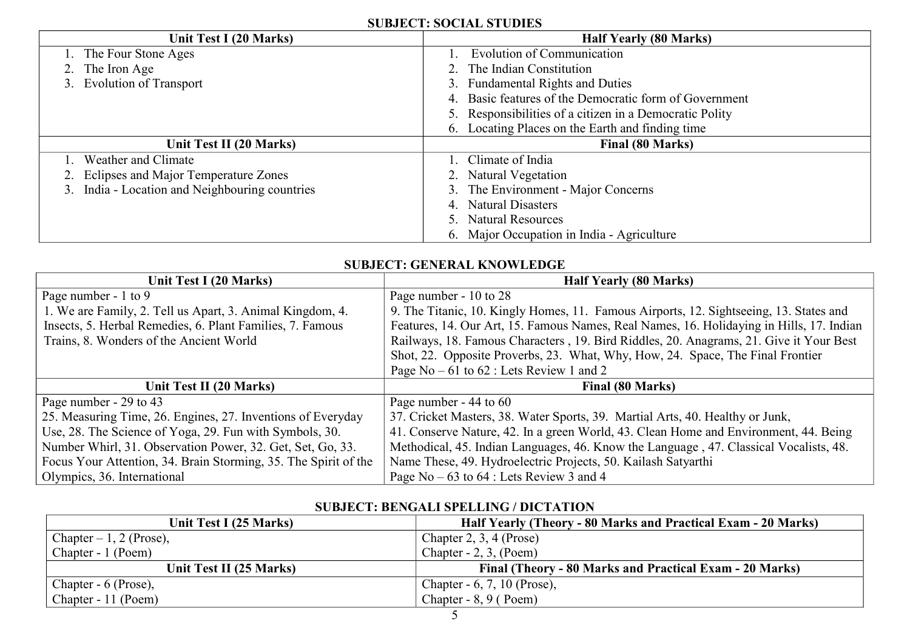### **SUBJECT: SOCIAL STUDIES**

| Unit Test I (20 Marks)                         | <b>Half Yearly (80 Marks)</b>                           |
|------------------------------------------------|---------------------------------------------------------|
| 1. The Four Stone Ages                         | <b>Evolution of Communication</b>                       |
| 2. The Iron Age                                | The Indian Constitution                                 |
| 3. Evolution of Transport                      | <b>Fundamental Rights and Duties</b><br>3.              |
|                                                | Basic features of the Democratic form of Government     |
|                                                | 5. Responsibilities of a citizen in a Democratic Polity |
|                                                | 6. Locating Places on the Earth and finding time        |
| Unit Test II (20 Marks)                        | <b>Final (80 Marks)</b>                                 |
| Weather and Climate                            | Climate of India                                        |
| 2. Eclipses and Major Temperature Zones        | Natural Vegetation                                      |
| 3. India - Location and Neighbouring countries | The Environment - Major Concerns<br>3.                  |
|                                                | <b>Natural Disasters</b>                                |
|                                                | <b>Natural Resources</b>                                |
|                                                | 6. Major Occupation in India - Agriculture              |

#### **SUBJECT: GENERAL KNOWLEDGE**

| Unit Test I (20 Marks)                                          | <b>Half Yearly (80 Marks)</b>                                                            |
|-----------------------------------------------------------------|------------------------------------------------------------------------------------------|
| Page number - 1 to 9                                            | Page number - 10 to 28                                                                   |
| 1. We are Family, 2. Tell us Apart, 3. Animal Kingdom, 4.       | 9. The Titanic, 10. Kingly Homes, 11. Famous Airports, 12. Sightseeing, 13. States and   |
| Insects, 5. Herbal Remedies, 6. Plant Families, 7. Famous       | Features, 14. Our Art, 15. Famous Names, Real Names, 16. Holidaying in Hills, 17. Indian |
| Trains, 8. Wonders of the Ancient World                         | Railways, 18. Famous Characters, 19. Bird Riddles, 20. Anagrams, 21. Give it Your Best   |
|                                                                 | Shot, 22. Opposite Proverbs, 23. What, Why, How, 24. Space, The Final Frontier           |
|                                                                 | Page $No - 61$ to $62$ : Lets Review 1 and 2                                             |
| Unit Test II (20 Marks)                                         | Final (80 Marks)                                                                         |
| Page number - 29 to 43                                          | Page number - 44 to 60                                                                   |
| 25. Measuring Time, 26. Engines, 27. Inventions of Everyday     | 37. Cricket Masters, 38. Water Sports, 39. Martial Arts, 40. Healthy or Junk,            |
| Use, 28. The Science of Yoga, 29. Fun with Symbols, 30.         | 41. Conserve Nature, 42. In a green World, 43. Clean Home and Environment, 44. Being     |
| Number Whirl, 31. Observation Power, 32. Get, Set, Go, 33.      | Methodical, 45. Indian Languages, 46. Know the Language, 47. Classical Vocalists, 48.    |
| Focus Your Attention, 34. Brain Storming, 35. The Spirit of the | Name These, 49. Hydroelectric Projects, 50. Kailash Satyarthi                            |
| Olympics, 36. International                                     | Page No $-63$ to $64$ : Lets Review 3 and 4                                              |

#### **SUBJECT: BENGALI SPELLING / DICTATION**

| Unit Test I (25 Marks)    | Half Yearly (Theory - 80 Marks and Practical Exam - 20 Marks) |
|---------------------------|---------------------------------------------------------------|
| Chapter $-1$ , 2 (Prose), | Chapter $2, 3, 4$ (Prose)                                     |
| Chapter - 1 (Poem)        | Chapter $-2$ , 3, (Poem)                                      |
| Unit Test II (25 Marks)   | Final (Theory - 80 Marks and Practical Exam - 20 Marks)       |
| Chapter - 6 (Prose),      | Chapter - 6, 7, 10 (Prose),                                   |
| Chapter - 11 (Poem)       | Chapter - $8, 9$ (Poem)                                       |